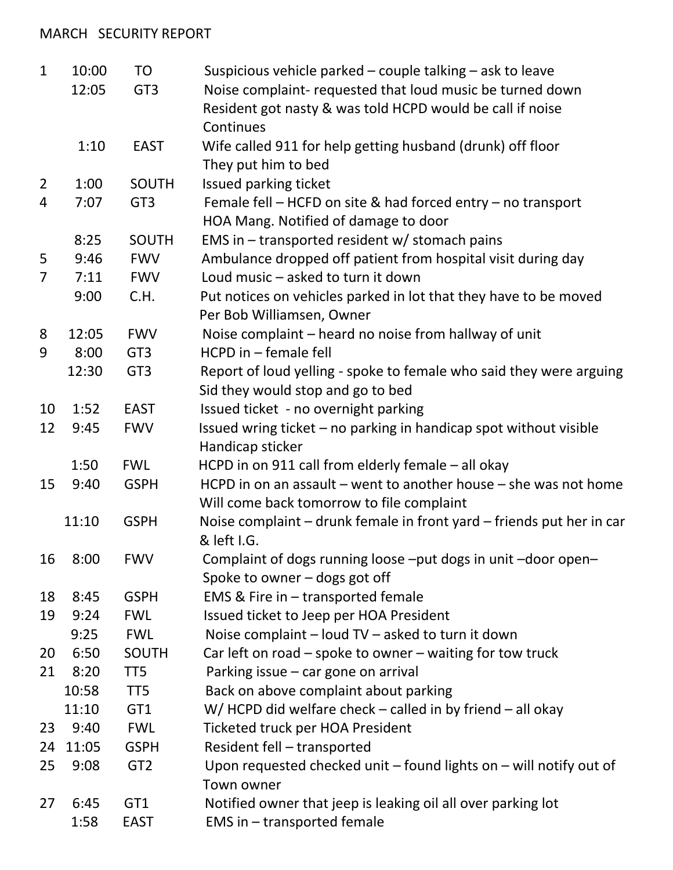## MARCH SECURITY REPORT

| $\mathbf{1}$   | 10:00 | <b>TO</b>       | Suspicious vehicle parked – couple talking – ask to leave              |
|----------------|-------|-----------------|------------------------------------------------------------------------|
|                | 12:05 | GT <sub>3</sub> | Noise complaint- requested that loud music be turned down              |
|                |       |                 | Resident got nasty & was told HCPD would be call if noise              |
|                |       |                 | Continues                                                              |
|                | 1:10  | <b>EAST</b>     | Wife called 911 for help getting husband (drunk) off floor             |
|                |       |                 | They put him to bed                                                    |
| $\overline{2}$ | 1:00  | <b>SOUTH</b>    | Issued parking ticket                                                  |
| 4              | 7:07  | GT <sub>3</sub> | Female fell $-$ HCFD on site & had forced entry $-$ no transport       |
|                |       |                 | HOA Mang. Notified of damage to door                                   |
|                | 8:25  | <b>SOUTH</b>    | EMS in $-$ transported resident w/ stomach pains                       |
| 5              | 9:46  | <b>FWV</b>      | Ambulance dropped off patient from hospital visit during day           |
| $\overline{7}$ | 7:11  | <b>FWV</b>      | Loud music - asked to turn it down                                     |
|                | 9:00  | C.H.            | Put notices on vehicles parked in lot that they have to be moved       |
|                |       |                 | Per Bob Williamsen, Owner                                              |
| 8              | 12:05 | <b>FWV</b>      | Noise complaint - heard no noise from hallway of unit                  |
| 9              | 8:00  | GT <sub>3</sub> | HCPD in - female fell                                                  |
|                | 12:30 | GT <sub>3</sub> | Report of loud yelling - spoke to female who said they were arguing    |
|                |       |                 | Sid they would stop and go to bed                                      |
| 10             | 1:52  | <b>EAST</b>     | Issued ticket - no overnight parking                                   |
| 12             | 9:45  | <b>FWV</b>      | Issued wring ticket - no parking in handicap spot without visible      |
|                |       |                 | Handicap sticker                                                       |
|                | 1:50  | <b>FWL</b>      | HCPD in on 911 call from elderly female - all okay                     |
| 15             | 9:40  | <b>GSPH</b>     | HCPD in on an assault $-$ went to another house $-$ she was not home   |
|                |       |                 | Will come back tomorrow to file complaint                              |
|                | 11:10 | <b>GSPH</b>     | Noise complaint – drunk female in front yard – friends put her in car  |
|                |       |                 | & left I.G.                                                            |
| 16             | 8:00  | <b>FWV</b>      | Complaint of dogs running loose -put dogs in unit -door open-          |
|                |       |                 | Spoke to owner - dogs got off                                          |
| 18             | 8:45  | <b>GSPH</b>     | <b>EMS &amp; Fire in <math>-</math> transported female</b>             |
| 19             | 9:24  | <b>FWL</b>      | Issued ticket to Jeep per HOA President                                |
|                | 9:25  | <b>FWL</b>      | Noise complaint - loud TV - asked to turn it down                      |
| 20             | 6:50  | <b>SOUTH</b>    | Car left on road $-$ spoke to owner $-$ waiting for tow truck          |
| 21             | 8:20  | TT5             | Parking issue - car gone on arrival                                    |
|                | 10:58 | TT <sub>5</sub> | Back on above complaint about parking                                  |
|                | 11:10 | GT <sub>1</sub> | $W/$ HCPD did welfare check – called in by friend – all okay           |
| 23             | 9:40  | <b>FWL</b>      | <b>Ticketed truck per HOA President</b>                                |
| 24             | 11:05 | <b>GSPH</b>     | Resident fell - transported                                            |
| 25             | 9:08  | GT <sub>2</sub> | Upon requested checked unit $-$ found lights on $-$ will notify out of |
|                |       |                 | Town owner                                                             |
| 27             | 6:45  | GT1             | Notified owner that jeep is leaking oil all over parking lot           |
|                | 1:58  | <b>EAST</b>     | EMS in - transported female                                            |